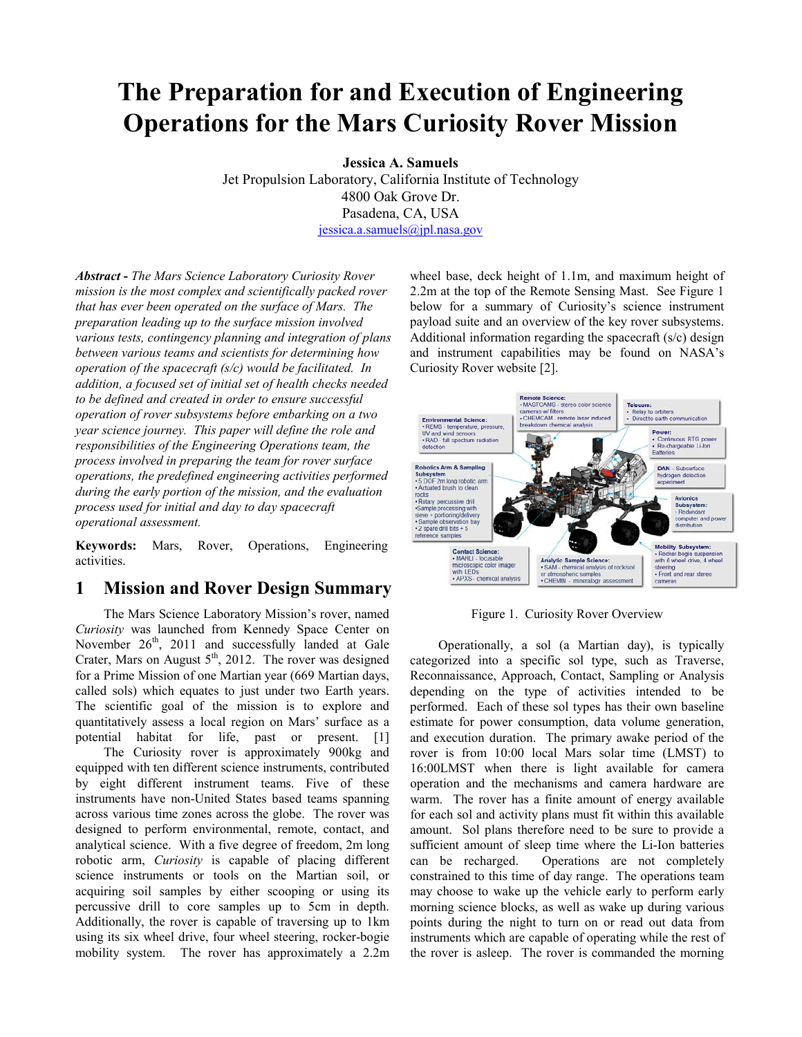# **The Preparation for and Execution of Engineering Operations for the Mars Curiosity Rover Mission**

**Jessica A. Samuels**

Jet Propulsion Laboratory, California Institute of Technology 4800 Oak Grove Dr. Pasadena, CA, USA [jessica.a.samuels@jpl.nasa.gov](mailto:jessica.a.samuels@jpl.nasa.gov)

*Abstract* **-** *The Mars Science Laboratory Curiosity Rover mission is the most complex and scientifically packed rover that has ever been operated on the surface of Mars. The preparation leading up to the surface mission involved various tests, contingency planning and integration of plans between various teams and scientists for determining how operation of the spacecraft (s/c) would be facilitated. In addition, a focused set of initial set of health checks needed to be defined and created in order to ensure successful operation of rover subsystems before embarking on a two year science journey. This paper will define the role and responsibilities of the Engineering Operations team, the process involved in preparing the team for rover surface operations, the predefined engineering activities performed during the early portion of the mission, and the evaluation process used for initial and day to day spacecraft operational assessment.*

**Keywords:** Mars, Rover, Operations, Engineering activities.

## **1 Mission and Rover Design Summary**

The Mars Science Laboratory Mission's rover, named *Curiosity* was launched from Kennedy Space Center on November  $26<sup>th</sup>$ , 2011 and successfully landed at Gale Crater, Mars on August  $5<sup>th</sup>$ , 2012. The rover was designed for a Prime Mission of one Martian year (669 Martian days, called sols) which equates to just under two Earth years. The scientific goal of the mission is to explore and quantitatively assess a local region on Mars' surface as a potential habitat for life, past or present. [1]

The Curiosity rover is approximately 900kg and equipped with ten different science instruments, contributed by eight different instrument teams. Five of these instruments have non-United States based teams spanning across various time zones across the globe. The rover was designed to perform environmental, remote, contact, and analytical science. With a five degree of freedom, 2m long robotic arm, *Curiosity* is capable of placing different science instruments or tools on the Martian soil, or acquiring soil samples by either scooping or using its percussive drill to core samples up to 5cm in depth. Additionally, the rover is capable of traversing up to 1km using its six wheel drive, four wheel steering, rocker-bogie mobility system. The rover has approximately a 2.2m

wheel base, deck height of 1.1m, and maximum height of 2.2m at the top of the Remote Sensing Mast. See Figure 1 below for a summary of Curiosity's science instrument payload suite and an overview of the key rover subsystems. Additional information regarding the spacecraft (s/c) design and instrument capabilities may be found on NASA's Curiosity Rover website [2].



Figure 1. Curiosity Rover Overview

Operationally, a sol (a Martian day), is typically categorized into a specific sol type, such as Traverse, Reconnaissance, Approach, Contact, Sampling or Analysis depending on the type of activities intended to be performed. Each of these sol types has their own baseline estimate for power consumption, data volume generation, and execution duration. The primary awake period of the rover is from 10:00 local Mars solar time (LMST) to 16:00LMST when there is light available for camera operation and the mechanisms and camera hardware are warm. The rover has a finite amount of energy available for each sol and activity plans must fit within this available amount. Sol plans therefore need to be sure to provide a sufficient amount of sleep time where the Li-Ion batteries can be recharged. Operations are not completely constrained to this time of day range. The operations team may choose to wake up the vehicle early to perform early morning science blocks, as well as wake up during various points during the night to turn on or read out data from instruments which are capable of operating while the rest of the rover is asleep. The rover is commanded the morning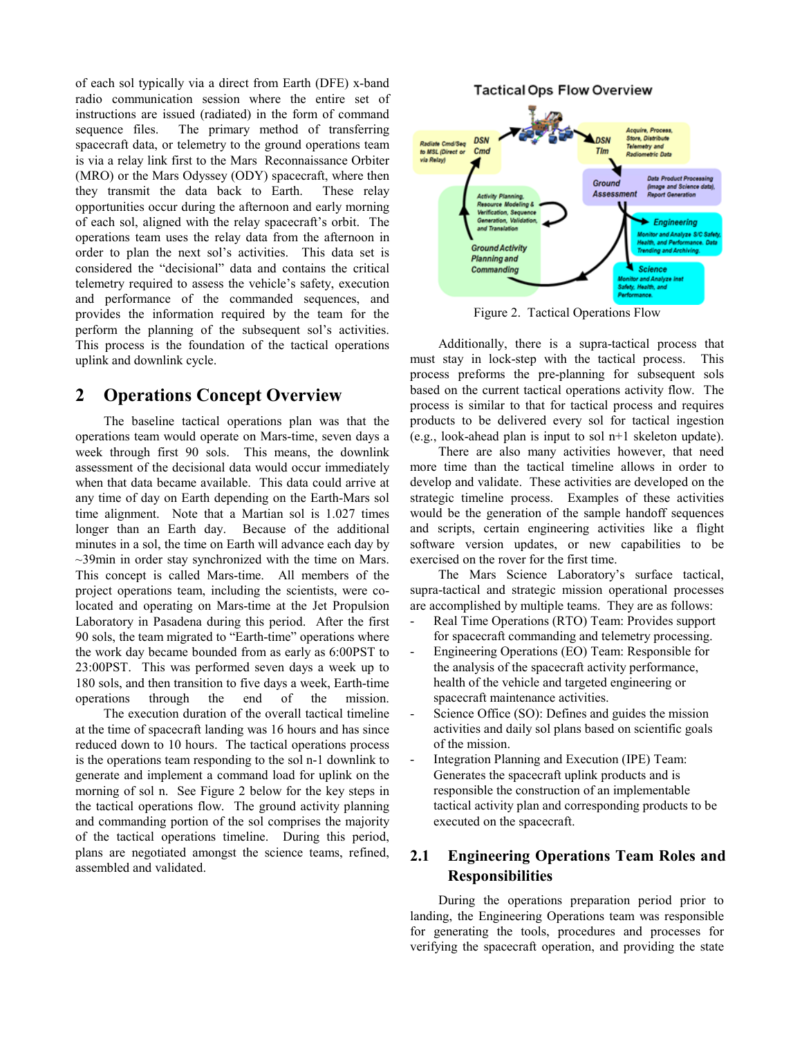of each sol typically via a direct from Earth (DFE) x-band radio communication session where the entire set of instructions are issued (radiated) in the form of command sequence files. The primary method of transferring spacecraft data, or telemetry to the ground operations team is via a relay link first to the Mars Reconnaissance Orbiter (MRO) or the Mars Odyssey (ODY) spacecraft, where then they transmit the data back to Earth. These relay opportunities occur during the afternoon and early morning of each sol, aligned with the relay spacecraft's orbit. The operations team uses the relay data from the afternoon in order to plan the next sol's activities. This data set is considered the "decisional" data and contains the critical telemetry required to assess the vehicle's safety, execution and performance of the commanded sequences, and provides the information required by the team for the perform the planning of the subsequent sol's activities. This process is the foundation of the tactical operations uplink and downlink cycle.

#### **2 Operations Concept Overview**

The baseline tactical operations plan was that the operations team would operate on Mars-time, seven days a week through first 90 sols. This means, the downlink assessment of the decisional data would occur immediately when that data became available. This data could arrive at any time of day on Earth depending on the Earth-Mars sol time alignment. Note that a Martian sol is 1.027 times longer than an Earth day. Because of the additional minutes in a sol, the time on Earth will advance each day by  $\sim$ 39min in order stay synchronized with the time on Mars. This concept is called Mars-time. All members of the project operations team, including the scientists, were colocated and operating on Mars-time at the Jet Propulsion Laboratory in Pasadena during this period. After the first 90 sols, the team migrated to "Earth-time" operations where the work day became bounded from as early as 6:00PST to 23:00PST. This was performed seven days a week up to 180 sols, and then transition to five days a week, Earth-time operations through the end of the mission.

The execution duration of the overall tactical timeline at the time of spacecraft landing was 16 hours and has since reduced down to 10 hours. The tactical operations process is the operations team responding to the sol n-1 downlink to generate and implement a command load for uplink on the morning of sol n. See Figure 2 below for the key steps in the tactical operations flow. The ground activity planning and commanding portion of the sol comprises the majority of the tactical operations timeline. During this period, plans are negotiated amongst the science teams, refined, assembled and validated.



Figure 2. Tactical Operations Flow

Additionally, there is a supra-tactical process that must stay in lock-step with the tactical process. This process preforms the pre-planning for subsequent sols based on the current tactical operations activity flow. The process is similar to that for tactical process and requires products to be delivered every sol for tactical ingestion (e.g., look-ahead plan is input to sol n+1 skeleton update).

There are also many activities however, that need more time than the tactical timeline allows in order to develop and validate. These activities are developed on the strategic timeline process. Examples of these activities would be the generation of the sample handoff sequences and scripts, certain engineering activities like a flight software version updates, or new capabilities to be exercised on the rover for the first time.

The Mars Science Laboratory's surface tactical, supra-tactical and strategic mission operational processes are accomplished by multiple teams. They are as follows:

- Real Time Operations (RTO) Team: Provides support for spacecraft commanding and telemetry processing.
- Engineering Operations (EO) Team: Responsible for the analysis of the spacecraft activity performance, health of the vehicle and targeted engineering or spacecraft maintenance activities.
- Science Office (SO): Defines and guides the mission activities and daily sol plans based on scientific goals of the mission.
- Integration Planning and Execution (IPE) Team: Generates the spacecraft uplink products and is responsible the construction of an implementable tactical activity plan and corresponding products to be executed on the spacecraft.

#### **2.1 Engineering Operations Team Roles and Responsibilities**

During the operations preparation period prior to landing, the Engineering Operations team was responsible for generating the tools, procedures and processes for verifying the spacecraft operation, and providing the state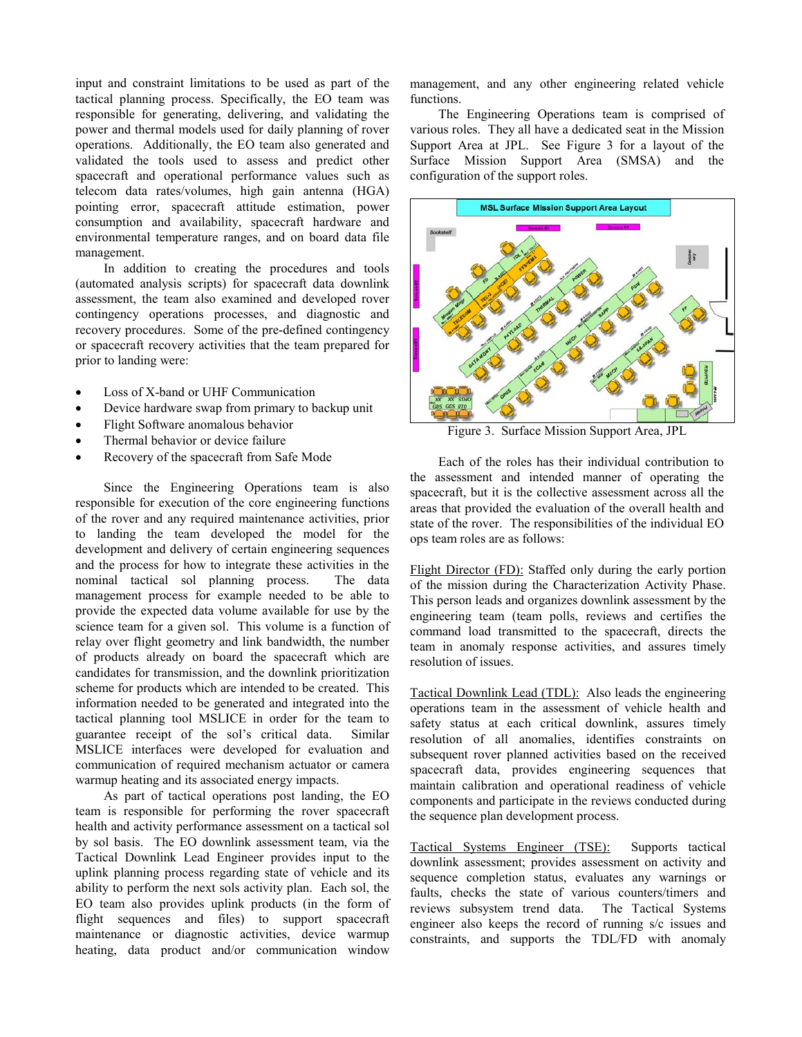input and constraint limitations to be used as part of the tactical planning process. Specifically, the EO team was responsible for generating, delivering, and validating the power and thermal models used for daily planning of rover operations. Additionally, the EO team also generated and validated the tools used to assess and predict other spacecraft and operational performance values such as telecom data rates/volumes, high gain antenna (HGA) pointing error, spacecraft attitude estimation, power consumption and availability, spacecraft hardware and environmental temperature ranges, and on board data file management.

In addition to creating the procedures and tools (automated analysis scripts) for spacecraft data downlink assessment, the team also examined and developed rover contingency operations processes, and diagnostic and recovery procedures. Some of the pre-defined contingency or spacecraft recovery activities that the team prepared for prior to landing were:

- Loss of X-band or UHF Communication
- Device hardware swap from primary to backup unit
- Flight Software anomalous behavior
- Thermal behavior or device failure
- Recovery of the spacecraft from Safe Mode

Since the Engineering Operations team is also responsible for execution of the core engineering functions of the rover and any required maintenance activities, prior to landing the team developed the model for the development and delivery of certain engineering sequences and the process for how to integrate these activities in the nominal tactical sol planning process. The data management process for example needed to be able to provide the expected data volume available for use by the science team for a given sol. This volume is a function of relay over flight geometry and link bandwidth, the number of products already on board the spacecraft which are candidates for transmission, and the downlink prioritization scheme for products which are intended to be created. This information needed to be generated and integrated into the tactical planning tool MSLICE in order for the team to guarantee receipt of the sol's critical data. Similar MSLICE interfaces were developed for evaluation and communication of required mechanism actuator or camera warmup heating and its associated energy impacts.

As part of tactical operations post landing, the EO team is responsible for performing the rover spacecraft health and activity performance assessment on a tactical sol by sol basis. The EO downlink assessment team, via the Tactical Downlink Lead Engineer provides input to the uplink planning process regarding state of vehicle and its ability to perform the next sols activity plan. Each sol, the EO team also provides uplink products (in the form of flight sequences and files) to support spacecraft maintenance or diagnostic activities, device warmup heating, data product and/or communication window

management, and any other engineering related vehicle functions.

The Engineering Operations team is comprised of various roles. They all have a dedicated seat in the Mission Support Area at JPL. See Figure 3 for a layout of the Surface Mission Support Area (SMSA) and the configuration of the support roles.



Figure 3. Surface Mission Support Area, JPL

Each of the roles has their individual contribution to the assessment and intended manner of operating the spacecraft, but it is the collective assessment across all the areas that provided the evaluation of the overall health and state of the rover. The responsibilities of the individual EO ops team roles are as follows:

Flight Director (FD): Staffed only during the early portion of the mission during the Characterization Activity Phase. This person leads and organizes downlink assessment by the engineering team (team polls, reviews and certifies the command load transmitted to the spacecraft, directs the team in anomaly response activities, and assures timely resolution of issues.

Tactical Downlink Lead (TDL): Also leads the engineering operations team in the assessment of vehicle health and safety status at each critical downlink, assures timely resolution of all anomalies, identifies constraints on subsequent rover planned activities based on the received spacecraft data, provides engineering sequences that maintain calibration and operational readiness of vehicle components and participate in the reviews conducted during the sequence plan development process.

Tactical Systems Engineer (TSE): Supports tactical downlink assessment; provides assessment on activity and sequence completion status, evaluates any warnings or faults, checks the state of various counters/timers and reviews subsystem trend data. The Tactical Systems engineer also keeps the record of running s/c issues and constraints, and supports the TDL/FD with anomaly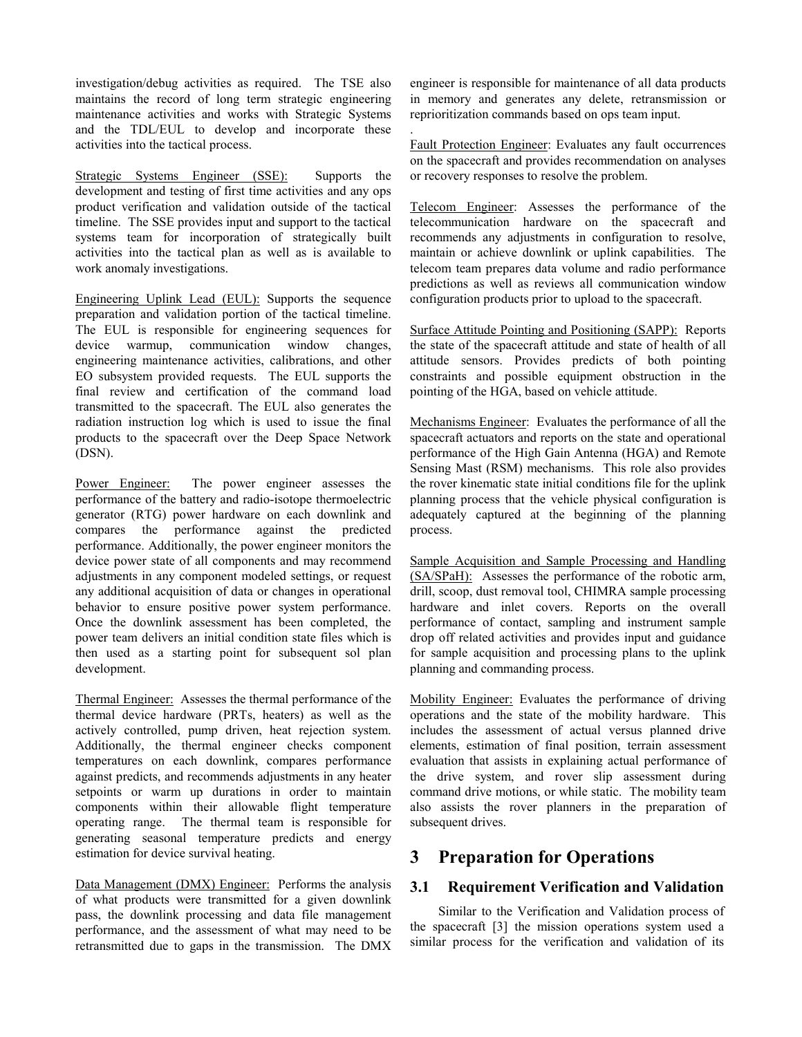investigation/debug activities as required. The TSE also maintains the record of long term strategic engineering maintenance activities and works with Strategic Systems and the TDL/EUL to develop and incorporate these activities into the tactical process.

Strategic Systems Engineer (SSE): Supports the development and testing of first time activities and any ops product verification and validation outside of the tactical timeline. The SSE provides input and support to the tactical systems team for incorporation of strategically built activities into the tactical plan as well as is available to work anomaly investigations.

Engineering Uplink Lead (EUL): Supports the sequence preparation and validation portion of the tactical timeline. The EUL is responsible for engineering sequences for device warmup, communication window changes, engineering maintenance activities, calibrations, and other EO subsystem provided requests. The EUL supports the final review and certification of the command load transmitted to the spacecraft. The EUL also generates the radiation instruction log which is used to issue the final products to the spacecraft over the Deep Space Network (DSN).

Power Engineer: The power engineer assesses the performance of the battery and radio-isotope thermoelectric generator (RTG) power hardware on each downlink and compares the performance against the predicted performance. Additionally, the power engineer monitors the device power state of all components and may recommend adjustments in any component modeled settings, or request any additional acquisition of data or changes in operational behavior to ensure positive power system performance. Once the downlink assessment has been completed, the power team delivers an initial condition state files which is then used as a starting point for subsequent sol plan development.

Thermal Engineer: Assesses the thermal performance of the thermal device hardware (PRTs, heaters) as well as the actively controlled, pump driven, heat rejection system. Additionally, the thermal engineer checks component temperatures on each downlink, compares performance against predicts, and recommends adjustments in any heater setpoints or warm up durations in order to maintain components within their allowable flight temperature operating range. The thermal team is responsible for generating seasonal temperature predicts and energy estimation for device survival heating.

Data Management (DMX) Engineer: Performs the analysis of what products were transmitted for a given downlink pass, the downlink processing and data file management performance, and the assessment of what may need to be retransmitted due to gaps in the transmission. The DMX engineer is responsible for maintenance of all data products in memory and generates any delete, retransmission or reprioritization commands based on ops team input.

Fault Protection Engineer: Evaluates any fault occurrences on the spacecraft and provides recommendation on analyses or recovery responses to resolve the problem.

.

Telecom Engineer: Assesses the performance of the telecommunication hardware on the spacecraft and recommends any adjustments in configuration to resolve, maintain or achieve downlink or uplink capabilities. The telecom team prepares data volume and radio performance predictions as well as reviews all communication window configuration products prior to upload to the spacecraft.

Surface Attitude Pointing and Positioning (SAPP): Reports the state of the spacecraft attitude and state of health of all attitude sensors. Provides predicts of both pointing constraints and possible equipment obstruction in the pointing of the HGA, based on vehicle attitude.

Mechanisms Engineer: Evaluates the performance of all the spacecraft actuators and reports on the state and operational performance of the High Gain Antenna (HGA) and Remote Sensing Mast (RSM) mechanisms. This role also provides the rover kinematic state initial conditions file for the uplink planning process that the vehicle physical configuration is adequately captured at the beginning of the planning process.

Sample Acquisition and Sample Processing and Handling (SA/SPaH): Assesses the performance of the robotic arm, drill, scoop, dust removal tool, CHIMRA sample processing hardware and inlet covers. Reports on the overall performance of contact, sampling and instrument sample drop off related activities and provides input and guidance for sample acquisition and processing plans to the uplink planning and commanding process.

Mobility Engineer: Evaluates the performance of driving operations and the state of the mobility hardware. This includes the assessment of actual versus planned drive elements, estimation of final position, terrain assessment evaluation that assists in explaining actual performance of the drive system, and rover slip assessment during command drive motions, or while static. The mobility team also assists the rover planners in the preparation of subsequent drives.

# **3 Preparation for Operations**

#### **3.1 Requirement Verification and Validation**

Similar to the Verification and Validation process of the spacecraft [3] the mission operations system used a similar process for the verification and validation of its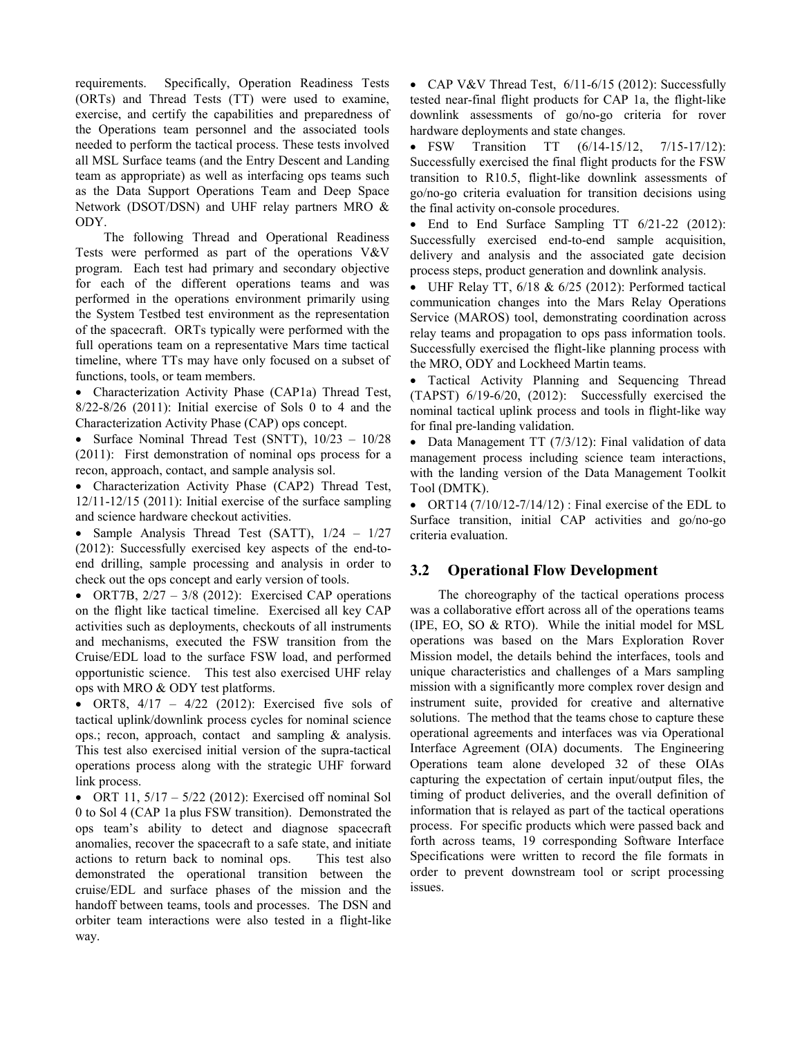requirements. Specifically, Operation Readiness Tests (ORTs) and Thread Tests (TT) were used to examine, exercise, and certify the capabilities and preparedness of the Operations team personnel and the associated tools needed to perform the tactical process. These tests involved all MSL Surface teams (and the Entry Descent and Landing team as appropriate) as well as interfacing ops teams such as the Data Support Operations Team and Deep Space Network (DSOT/DSN) and UHF relay partners MRO & ODY.

The following Thread and Operational Readiness Tests were performed as part of the operations V&V program. Each test had primary and secondary objective for each of the different operations teams and was performed in the operations environment primarily using the System Testbed test environment as the representation of the spacecraft. ORTs typically were performed with the full operations team on a representative Mars time tactical timeline, where TTs may have only focused on a subset of functions, tools, or team members.

• Characterization Activity Phase (CAP1a) Thread Test, 8/22-8/26 (2011): Initial exercise of Sols 0 to 4 and the Characterization Activity Phase (CAP) ops concept.

• Surface Nominal Thread Test (SNTT),  $10/23 - 10/28$ (2011): First demonstration of nominal ops process for a recon, approach, contact, and sample analysis sol.

• Characterization Activity Phase (CAP2) Thread Test, 12/11-12/15 (2011): Initial exercise of the surface sampling and science hardware checkout activities.

• Sample Analysis Thread Test (SATT),  $1/24 - 1/27$ (2012): Successfully exercised key aspects of the end-toend drilling, sample processing and analysis in order to check out the ops concept and early version of tools.

• ORT7B,  $2/27 - 3/8$  (2012): Exercised CAP operations on the flight like tactical timeline. Exercised all key CAP activities such as deployments, checkouts of all instruments and mechanisms, executed the FSW transition from the Cruise/EDL load to the surface FSW load, and performed opportunistic science. This test also exercised UHF relay ops with MRO & ODY test platforms.

• ORT8,  $4/17 - 4/22$  (2012): Exercised five sols of tactical uplink/downlink process cycles for nominal science ops.; recon, approach, contact and sampling & analysis. This test also exercised initial version of the supra-tactical operations process along with the strategic UHF forward link process.

• ORT 11,  $5/17 - 5/22$  (2012): Exercised off nominal Sol 0 to Sol 4 (CAP 1a plus FSW transition). Demonstrated the ops team's ability to detect and diagnose spacecraft anomalies, recover the spacecraft to a safe state, and initiate actions to return back to nominal ops. This test also demonstrated the operational transition between the cruise/EDL and surface phases of the mission and the handoff between teams, tools and processes. The DSN and orbiter team interactions were also tested in a flight-like way.

• CAP V&V Thread Test, 6/11-6/15 (2012): Successfully tested near-final flight products for CAP 1a, the flight-like downlink assessments of go/no-go criteria for rover hardware deployments and state changes.

• FSW Transition TT  $(6/14-15/12, 7/15-17/12)$ : Successfully exercised the final flight products for the FSW transition to R10.5, flight-like downlink assessments of go/no-go criteria evaluation for transition decisions using the final activity on-console procedures.

• End to End Surface Sampling TT  $6/21-22$  (2012): Successfully exercised end-to-end sample acquisition, delivery and analysis and the associated gate decision process steps, product generation and downlink analysis.

• UHF Relay TT,  $6/18$  &  $6/25$  (2012): Performed tactical communication changes into the Mars Relay Operations Service (MAROS) tool, demonstrating coordination across relay teams and propagation to ops pass information tools. Successfully exercised the flight-like planning process with the MRO, ODY and Lockheed Martin teams.

• Tactical Activity Planning and Sequencing Thread (TAPST) 6/19-6/20, (2012): Successfully exercised the nominal tactical uplink process and tools in flight-like way for final pre-landing validation.

• Data Management TT (7/3/12): Final validation of data management process including science team interactions, with the landing version of the Data Management Toolkit Tool (DMTK).

• ORT14  $(7/10/12 - 7/14/12)$ : Final exercise of the EDL to Surface transition, initial CAP activities and go/no-go criteria evaluation.

#### **3.2 Operational Flow Development**

The choreography of the tactical operations process was a collaborative effort across all of the operations teams (IPE, EO, SO & RTO). While the initial model for MSL operations was based on the Mars Exploration Rover Mission model, the details behind the interfaces, tools and unique characteristics and challenges of a Mars sampling mission with a significantly more complex rover design and instrument suite, provided for creative and alternative solutions. The method that the teams chose to capture these operational agreements and interfaces was via Operational Interface Agreement (OIA) documents. The Engineering Operations team alone developed 32 of these OIAs capturing the expectation of certain input/output files, the timing of product deliveries, and the overall definition of information that is relayed as part of the tactical operations process. For specific products which were passed back and forth across teams, 19 corresponding Software Interface Specifications were written to record the file formats in order to prevent downstream tool or script processing issues.